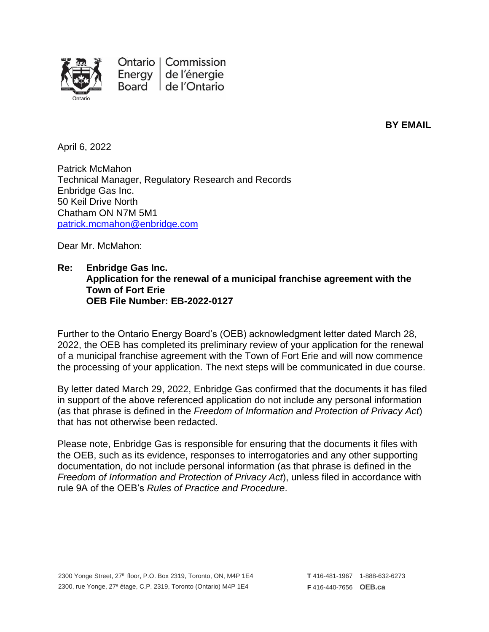

**BY EMAIL**

April 6, 2022

Patrick McMahon Technical Manager, Regulatory Research and Records Enbridge Gas Inc. 50 Keil Drive North Chatham ON N7M 5M1 [patrick.mcmahon@enbridge.com](mailto:patrick.mcmahon@enbridge.com)

Dear Mr. McMahon:

## **Re: Enbridge Gas Inc. Application for the renewal of a municipal franchise agreement with the Town of Fort Erie OEB File Number: EB-2022-0127**

Further to the Ontario Energy Board's (OEB) acknowledgment letter dated March 28, 2022, the OEB has completed its preliminary review of your application for the renewal of a municipal franchise agreement with the Town of Fort Erie and will now commence the processing of your application. The next steps will be communicated in due course.

By letter dated March 29, 2022, Enbridge Gas confirmed that the documents it has filed in support of the above referenced application do not include any personal information (as that phrase is defined in the *Freedom of Information and Protection of Privacy Act*) that has not otherwise been redacted.

Please note, Enbridge Gas is responsible for ensuring that the documents it files with the OEB, such as its evidence, responses to interrogatories and any other supporting documentation, do not include personal information (as that phrase is defined in the *Freedom of Information and Protection of Privacy Act*), unless filed in accordance with rule 9A of the OEB's *Rules of Practice and Procedure*.